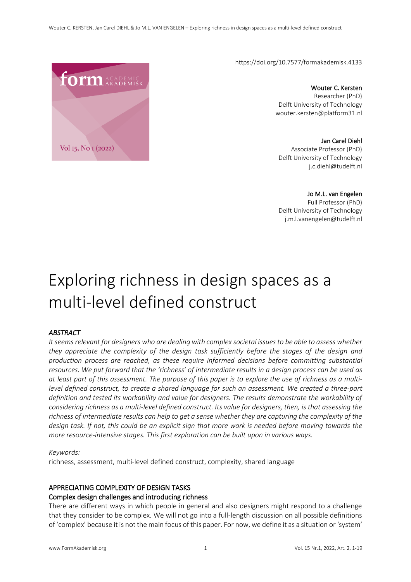https://doi.org/10.7577/formakademisk.4133

Wouter C. Kersten Researcher (PhD) Delft University of Technology wouter.kersten@platform31.nl

Jan Carel Diehl Associate Professor (PhD) Delft University of Technology j.c.diehl@tudelft.nl

Jo M.L. van Engelen Full Professor (PhD) Delft University of Technology j.m.l.vanengelen@tudelft.nl

# Exploring richness in design spaces as a multi-level defined construct

#### *ABSTRACT*

*It seems relevant for designers who are dealing with complex societal issues to be able to assess whether they appreciate the complexity of the design task sufficiently before the stages of the design and production process are reached, as these require informed decisions before committing substantial resources. We put forward that the 'richness' of intermediate results in a design process can be used as at least part of this assessment. The purpose of this paper is to explore the use of richness as a multilevel defined construct, to create a shared language for such an assessment. We created a three-part definition and tested its workability and value for designers. The results demonstrate the workability of considering richness as a multi-level defined construct. Its value for designers, then, is that assessing the richness of intermediate results can help to get a sense whether they are capturing the complexity of the design task. If not, this could be an explicit sign that more work is needed before moving towards the more resource-intensive stages. This first exploration can be built upon in various ways.* 

#### *Keywords:*

richness, assessment, multi-level defined construct, complexity, shared language

## APPRECIATING COMPLEXITY OF DESIGN TASKS

#### Complex design challenges and introducing richness

There are different ways in which people in general and also designers might respond to a challenge that they consider to be complex. We will not go into a full-length discussion on all possible definitions of 'complex' because it is not the main focus of this paper. For now, we define it as a situation or 'system'

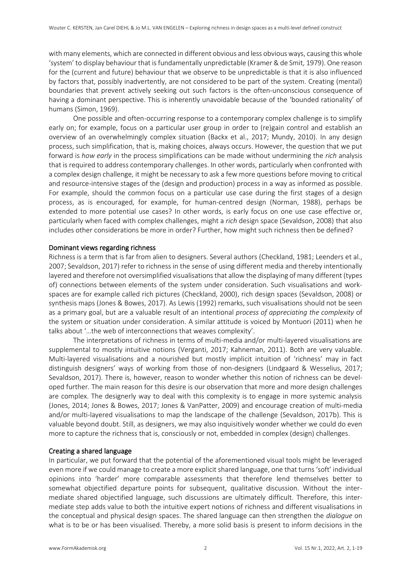with many elements, which are connected in different obvious and less obvious ways, causing this whole 'system' to display behaviour that is fundamentally unpredictable (Kramer & de Smit, 1979). One reason for the (current and future) behaviour that we observe to be unpredictable is that it is also influenced by factors that, possibly inadvertently, are not considered to be part of the system. Creating (mental) boundaries that prevent actively seeking out such factors is the often-unconscious consequence of having a dominant perspective. This is inherently unavoidable because of the 'bounded rationality' of humans (Simon, 1969).

One possible and often-occurring response to a contemporary complex challenge is to simplify early on; for example, focus on a particular user group in order to (re)gain control and establish an overview of an overwhelmingly complex situation (Backx et al., 2017; Mundy, 2010). In any design process, such simplification, that is, making choices, always occurs. However, the question that we put forward is *how early* in the process simplifications can be made without undermining the *rich* analysis that is required to address contemporary challenges. In other words, particularly when confronted with a complex design challenge, it might be necessary to ask a few more questions before moving to critical and resource-intensive stages of the (design and production) process in a way as informed as possible. For example, should the common focus on a particular use case during the first stages of a design process, as is encouraged, for example, for human-centred design (Norman, 1988), perhaps be extended to more potential use cases? In other words, is early focus on one use case effective or, particularly when faced with complex challenges, might a *rich* design space (Sevaldson, 2008) that also includes other considerations be more in order? Further, how might such richness then be defined?

#### Dominant views regarding richness

Richness is a term that is far from alien to designers. Several authors (Checkland, 1981; Leenders et al., 2007; Sevaldson, 2017) refer to richness in the sense of using different media and thereby intentionally layered and therefore not oversimplified visualisations that allow the displaying of many different (types of) connections between elements of the system under consideration. Such visualisations and workspaces are for example called rich pictures (Checkland, 2000), rich design spaces (Sevaldson, 2008) or synthesis maps (Jones & Bowes, 2017). As Lewis (1992) remarks, such visualisations should not be seen as a primary goal, but are a valuable result of an intentional *process of appreciating the complexity* of the system or situation under consideration. A similar attitude is voiced by Montuori (2011) when he talks about '…the web of interconnections that weaves complexity'.

The interpretations of richness in terms of multi-media and/or multi-layered visualisations are supplemental to mostly intuitive notions (Verganti, 2017; Kahneman, 2011). Both are very valuable. Multi-layered visualisations and a nourished but mostly implicit intuition of 'richness' may in fact distinguish designers' ways of working from those of non-designers (Lindgaard & Wesselius, 2017; Sevaldson, 2017). There is, however, reason to wonder whether this notion of richness can be developed further. The main reason for this desire is our observation that more and more design challenges are complex. The designerly way to deal with this complexity is to engage in more systemic analysis (Jones, 2014; Jones & Bowes, 2017; Jones & VanPatter, 2009) and encourage creation of multi-media and/or multi-layered visualisations to map the landscape of the challenge (Sevaldson, 2017b). This is valuable beyond doubt. Still, as designers, we may also inquisitively wonder whether we could do even more to capture the richness that is, consciously or not, embedded in complex (design) challenges.

#### Creating a shared language

In particular, we put forward that the potential of the aforementioned visual tools might be leveraged even more if we could manage to create a more explicit shared language, one that turns 'soft' individual opinions into 'harder' more comparable assessments that therefore lend themselves better to somewhat objectified departure points for subsequent, qualitative discussion. Without the intermediate shared objectified language, such discussions are ultimately difficult. Therefore, this intermediate step adds value to both the intuitive expert notions of richness and different visualisations in the conceptual and physical design spaces. The shared language can then strengthen the *dialogue* on what is to be or has been visualised. Thereby, a more solid basis is present to inform decisions in the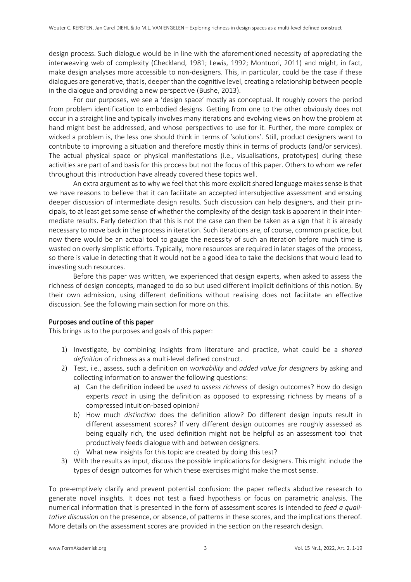design process. Such dialogue would be in line with the aforementioned necessity of appreciating the interweaving web of complexity (Checkland, 1981; Lewis, 1992; Montuori, 2011) and might, in fact, make design analyses more accessible to non-designers. This, in particular, could be the case if these dialogues are generative, that is, deeper than the cognitive level, creating a relationship between people in the dialogue and providing a new perspective (Bushe, 2013).

For our purposes, we see a 'design space' mostly as conceptual. It roughly covers the period from problem identification to embodied designs. Getting from one to the other obviously does not occur in a straight line and typically involves many iterations and evolving views on how the problem at hand might best be addressed, and whose perspectives to use for it. Further, the more complex or wicked a problem is, the less one should think in terms of 'solutions'. Still, product designers want to contribute to improving a situation and therefore mostly think in terms of products (and/or services). The actual physical space or physical manifestations (i.e., visualisations, prototypes) during these activities are part of and basis for this process but not the focus of this paper. Others to whom we refer throughout this introduction have already covered these topics well.

An extra argument as to why we feel that this more explicit shared language makes sense is that we have reasons to believe that it can facilitate an accepted intersubjective assessment and ensuing deeper discussion of intermediate design results. Such discussion can help designers, and their principals, to at least get some sense of whether the complexity of the design task is apparent in their intermediate results. Early detection that this is not the case can then be taken as a sign that it is already necessary to move back in the process in iteration. Such iterations are, of course, common practice, but now there would be an actual tool to gauge the necessity of such an iteration before much time is wasted on overly simplistic efforts. Typically, more resources are required in later stages of the process, so there is value in detecting that it would not be a good idea to take the decisions that would lead to investing such resources.

Before this paper was written, we experienced that design experts, when asked to assess the richness of design concepts, managed to do so but used different implicit definitions of this notion. By their own admission, using different definitions without realising does not facilitate an effective discussion. See the following main section for more on this.

#### Purposes and outline of this paper

This brings us to the purposes and goals of this paper:

- 1) Investigate, by combining insights from literature and practice, what could be a *shared definition* of richness as a multi-level defined construct.
- 2) Test, i.e., assess, such a definition on *workability* and *added value for designers* by asking and collecting information to answer the following questions:
	- a) Can the definition indeed be *used to assess richness* of design outcomes? How do design experts *react* in using the definition as opposed to expressing richness by means of a compressed intuition-based opinion?
	- b) How much *distinction* does the definition allow? Do different design inputs result in different assessment scores? If very different design outcomes are roughly assessed as being equally rich, the used definition might not be helpful as an assessment tool that productively feeds dialogue with and between designers.
	- c) What new insights for this topic are created by doing this test?
- 3) With the results as input, discuss the possible implications for designers. This might include the types of design outcomes for which these exercises might make the most sense.

To pre-emptively clarify and prevent potential confusion: the paper reflects abductive research to generate novel insights. It does not test a fixed hypothesis or focus on parametric analysis. The numerical information that is presented in the form of assessment scores is intended to *feed a qualitative discussion* on the presence, or absence, of patterns in these scores, and the implications thereof. More details on the assessment scores are provided in the section on the research design.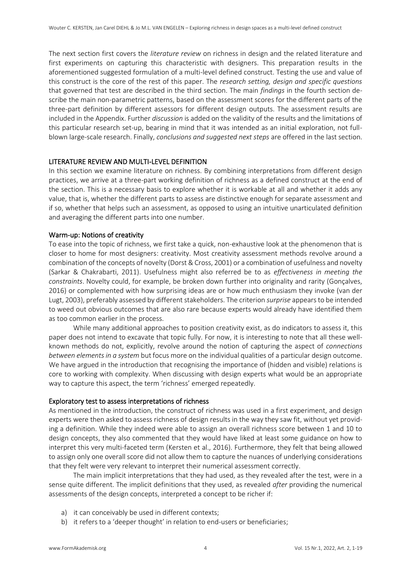The next section first covers the *literature review* on richness in design and the related literature and first experiments on capturing this characteristic with designers. This preparation results in the aforementioned suggested formulation of a multi-level defined construct. Testing the use and value of this construct is the core of the rest of this paper. The *research setting, design and specific questions* that governed that test are described in the third section. The main *findings* in the fourth section describe the main non-parametric patterns, based on the assessment scores for the different parts of the three-part definition by different assessors for different design outputs. The assessment results are included in the Appendix. Further *discussion* is added on the validity of the results and the limitations of this particular research set-up, bearing in mind that it was intended as an initial exploration, not fullblown large-scale research. Finally, *conclusions and suggested next steps* are offered in the last section.

#### LITERATURE REVIEW AND MULTI-LEVEL DEFINITION

In this section we examine literature on richness. By combining interpretations from different design practices, we arrive at a three-part working definition of richness as a defined construct at the end of the section. This is a necessary basis to explore whether it is workable at all and whether it adds any value, that is, whether the different parts to assess are distinctive enough for separate assessment and if so, whether that helps such an assessment, as opposed to using an intuitive unarticulated definition and averaging the different parts into one number.

#### Warm-up: Notions of creativity

To ease into the topic of richness, we first take a quick, non-exhaustive look at the phenomenon that is closer to home for most designers: creativity. Most creativity assessment methods revolve around a combination of the concepts of novelty (Dorst & Cross, 2001) or a combination of usefulness and novelty (Sarkar & Chakrabarti, 2011). Usefulness might also referred be to as *effectiveness in meeting the constraints*. Novelty could, for example, be broken down further into originality and rarity (Gonçalves, 2016) or complemented with how surprising ideas are or how much enthusiasm they invoke (van der Lugt, 2003), preferably assessed by different stakeholders. The criterion *surprise* appears to be intended to weed out obvious outcomes that are also rare because experts would already have identified them as too common earlier in the process.

While many additional approaches to position creativity exist, as do indicators to assess it, this paper does not intend to excavate that topic fully. For now, it is interesting to note that all these wellknown methods do not, explicitly, revolve around the notion of capturing the aspect of *connections between elements in a system* but focus more on the individual qualities of a particular design outcome. We have argued in the introduction that recognising the importance of (hidden and visible) relations is core to working with complexity. When discussing with design experts what would be an appropriate way to capture this aspect, the term 'richness' emerged repeatedly.

#### Exploratory test to assess interpretations of richness

As mentioned in the introduction, the construct of richness was used in a first experiment, and design experts were then asked to assess richness of design results in the way they saw fit, without yet providing a definition. While they indeed were able to assign an overall richness score between 1 and 10 to design concepts, they also commented that they would have liked at least some guidance on how to interpret this very multi-faceted term (Kersten et al., 2016). Furthermore, they felt that being allowed to assign only one overall score did not allow them to capture the nuances of underlying considerations that they felt were very relevant to interpret their numerical assessment correctly.

The main implicit interpretations that they had used, as they revealed after the test, were in a sense quite different. The implicit definitions that they used, as revealed *after* providing the numerical assessments of the design concepts, interpreted a concept to be richer if:

- a) it can conceivably be used in different contexts;
- b) it refers to a 'deeper thought' in relation to end-users or beneficiaries;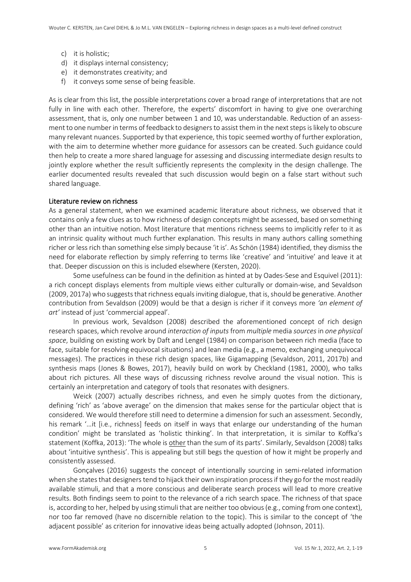- c) it is holistic;
- d) it displays internal consistency;
- e) it demonstrates creativity; and
- f) it conveys some sense of being feasible.

As is clear from this list, the possible interpretations cover a broad range of interpretations that are not fully in line with each other. Therefore, the experts' discomfort in having to give one overarching assessment, that is, only one number between 1 and 10, was understandable. Reduction of an assessment to one number in terms of feedback to designers to assist them in the next steps is likely to obscure many relevant nuances. Supported by that experience, this topic seemed worthy of further exploration, with the aim to determine whether more guidance for assessors can be created. Such guidance could then help to create a more shared language for assessing and discussing intermediate design results to jointly explore whether the result sufficiently represents the complexity in the design challenge. The earlier documented results revealed that such discussion would begin on a false start without such shared language.

#### Literature review on richness

As a general statement, when we examined academic literature about richness, we observed that it contains only a few clues as to how richness of design concepts might be assessed, based on something other than an intuitive notion. Most literature that mentions richness seems to implicitly refer to it as an intrinsic quality without much further explanation. This results in many authors calling something richer or less rich than something else simply because 'it is'. As Schön (1984) identified, they dismiss the need for elaborate reflection by simply referring to terms like 'creative' and 'intuitive' and leave it at that. Deeper discussion on this is included elsewhere (Kersten, 2020).

Some usefulness can be found in the definition as hinted at by Oades-Sese and Esquivel (2011): a rich concept displays elements from multiple views either culturally or domain-wise, and Sevaldson (2009, 2017a) who suggests that richness equals inviting dialogue, that is, should be generative. Another contribution from Sevaldson (2009) would be that a design is richer if it conveys more *'an element of art'* instead of just 'commercial appeal'.

In previous work, Sevaldson (2008) described the aforementioned concept of rich design research spaces, which revolve around *interaction of inputs* from *multiple* media *sources* in *one physical space*, building on existing work by Daft and Lengel (1984) on comparison between rich media (face to face, suitable for resolving equivocal situations) and lean media (e.g., a memo, exchanging unequivocal messages). The practices in these rich design spaces, like Gigamapping (Sevaldson, 2011, 2017b) and synthesis maps (Jones & Bowes, 2017), heavily build on work by Checkland (1981, 2000), who talks about rich pictures. All these ways of discussing richness revolve around the visual notion. This is certainly an interpretation and category of tools that resonates with designers.

Weick (2007) actually describes richness, and even he simply quotes from the dictionary, defining 'rich' as 'above average' on the dimension that makes sense for the particular object that is considered. We would therefore still need to determine a dimension for such an assessment. Secondly, his remark '…it [i.e., richness] feeds on itself in ways that enlarge our understanding of the human condition' might be translated as 'holistic thinking'. In that interpretation, it is similar to Koffka's statement (Koffka, 2013): 'The whole is other than the sum of its parts'. Similarly, Sevaldson (2008) talks about 'intuitive synthesis'. This is appealing but still begs the question of how it might be properly and consistently assessed.

Gonçalves (2016) suggests the concept of intentionally sourcing in semi-related information when she states that designers tend to hijack their own inspiration process if they go for the most readily available stimuli, and that a more conscious and deliberate search process will lead to more creative results. Both findings seem to point to the relevance of a rich search space. The richness of that space is, according to her, helped by using stimuli that are neither too obvious (e.g., coming from one context), nor too far removed (have no discernible relation to the topic). This is similar to the concept of 'the adjacent possible' as criterion for innovative ideas being actually adopted (Johnson, 2011).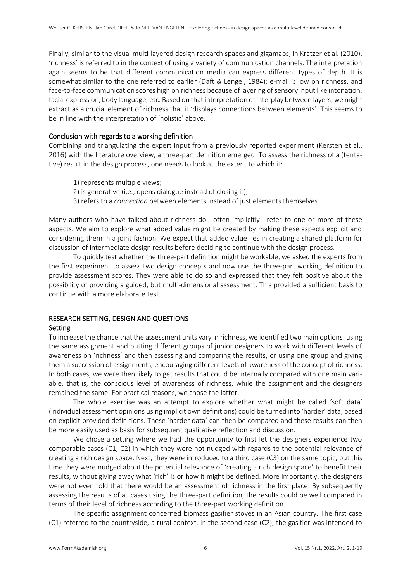Finally, similar to the visual multi-layered design research spaces and gigamaps, in Kratzer et al. (2010), 'richness' is referred to in the context of using a variety of communication channels. The interpretation again seems to be that different communication media can express different types of depth. It is somewhat similar to the one referred to earlier (Daft & Lengel, 1984): e-mail is low on richness, and face-to-face communication scores high on richness because of layering of sensory input like intonation, facial expression, body language, etc. Based on that interpretation of interplay between layers, we might extract as a crucial element of richness that it 'displays connections between elements'. This seems to be in line with the interpretation of 'holistic' above.

#### Conclusion with regards to a working definition

Combining and triangulating the expert input from a previously reported experiment (Kersten et al., 2016) with the literature overview, a three-part definition emerged. To assess the richness of a (tentative) result in the design process, one needs to look at the extent to which it:

- 1) represents multiple views;
- 2) is generative (i.e., opens dialogue instead of closing it);
- 3) refers to a *connection* between elements instead of just elements themselves.

Many authors who have talked about richness do—often implicitly—refer to one or more of these aspects. We aim to explore what added value might be created by making these aspects explicit and considering them in a joint fashion. We expect that added value lies in creating a shared platform for discussion of intermediate design results before deciding to continue with the design process.

To quickly test whether the three-part definition might be workable, we asked the experts from the first experiment to assess two design concepts and now use the three-part working definition to provide assessment scores. They were able to do so and expressed that they felt positive about the possibility of providing a guided, but multi-dimensional assessment. This provided a sufficient basis to continue with a more elaborate test.

# RESEARCH SETTING, DESIGN AND QUESTIONS

#### Setting

To increase the chance that the assessment units vary in richness, we identified two main options: using the same assignment and putting different groups of junior designers to work with different levels of awareness on 'richness' and then assessing and comparing the results, or using one group and giving them a succession of assignments, encouraging different levels of awareness of the concept of richness. In both cases, we were then likely to get results that could be internally compared with one main variable, that is, the conscious level of awareness of richness, while the assignment and the designers remained the same. For practical reasons, we chose the latter.

The whole exercise was an attempt to explore whether what might be called 'soft data' (individual assessment opinions using implicit own definitions) could be turned into 'harder' data, based on explicit provided definitions. These 'harder data' can then be compared and these results can then be more easily used as basis for subsequent qualitative reflection and discussion.

We chose a setting where we had the opportunity to first let the designers experience two comparable cases (C1, C2) in which they were not nudged with regards to the potential relevance of creating a rich design space. Next, they were introduced to a third case (C3) on the same topic, but this time they were nudged about the potential relevance of 'creating a rich design space' to benefit their results, without giving away what 'rich' is or how it might be defined. More importantly, the designers were not even told that there would be an assessment of richness in the first place. By subsequently assessing the results of all cases using the three-part definition, the results could be well compared in terms of their level of richness according to the three-part working definition.

The specific assignment concerned biomass gasifier stoves in an Asian country. The first case (C1) referred to the countryside, a rural context. In the second case (C2), the gasifier was intended to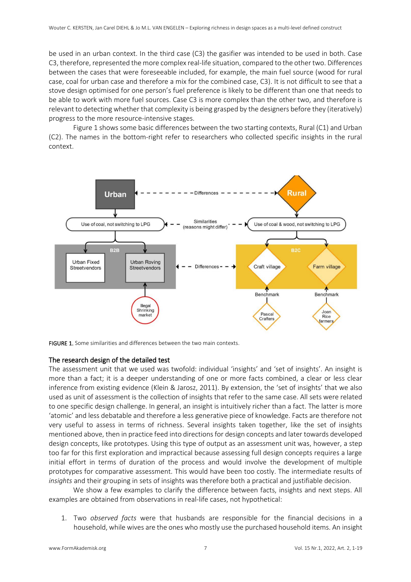be used in an urban context. In the third case (C3) the gasifier was intended to be used in both. Case C3, therefore, represented the more complex real-life situation, compared to the other two. Differences between the cases that were foreseeable included, for example, the main fuel source (wood for rural case, coal for urban case and therefore a mix for the combined case, C3). It is not difficult to see that a stove design optimised for one person's fuel preference is likely to be different than one that needs to be able to work with more fuel sources. Case C3 is more complex than the other two, and therefore is relevant to detecting whether that complexity is being grasped by the designers before they (iteratively) progress to the more resource-intensive stages.

Figure 1 shows some basic differences between the two starting contexts, Rural (C1) and Urban (C2). The names in the bottom-right refer to researchers who collected specific insights in the rural context.



FIGURE 1. Some similarities and differences between the two main contexts.

#### The research design of the detailed test

The assessment unit that we used was twofold: individual 'insights' and 'set of insights'. An insight is more than a fact; it is a deeper understanding of one or more facts combined, a clear or less clear inference from existing evidence (Klein & Jarosz, 2011). By extension, the 'set of insights' that we also used as unit of assessment is the collection of insights that refer to the same case. All sets were related to one specific design challenge. In general, an insight is intuitively richer than a fact. The latter is more 'atomic' and less debatable and therefore a less generative piece of knowledge. Facts are therefore not very useful to assess in terms of richness. Several insights taken together, like the set of insights mentioned above, then in practice feed into directions for design concepts and later towards developed design concepts, like prototypes. Using this type of output as an assessment unit was, however, a step too far for this first exploration and impractical because assessing full design concepts requires a large initial effort in terms of duration of the process and would involve the development of multiple prototypes for comparative assessment. This would have been too costly. The intermediate results of *insights* and their grouping in sets of insights was therefore both a practical and justifiable decision.

We show a few examples to clarify the difference between facts, insights and next steps. All examples are obtained from observations in real-life cases, not hypothetical:

1. Two *observed facts* were that husbands are responsible for the financial decisions in a household, while wives are the ones who mostly use the purchased household items. An insight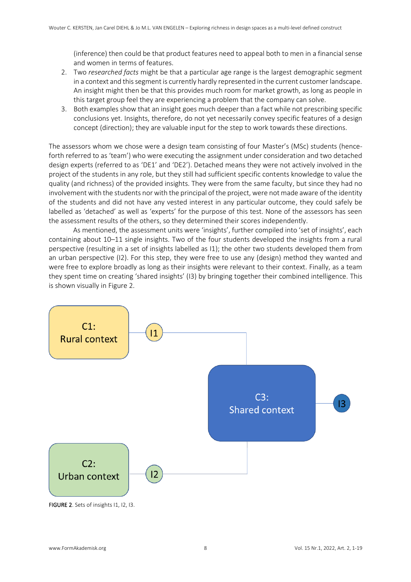(inference) then could be that product features need to appeal both to men in a financial sense and women in terms of features.

- 2. Two *researched facts* might be that a particular age range is the largest demographic segment in a context and this segment is currently hardly represented in the current customer landscape. An insight might then be that this provides much room for market growth, as long as people in this target group feel they are experiencing a problem that the company can solve.
- 3. Both examples show that an insight goes much deeper than a fact while not prescribing specific conclusions yet. Insights, therefore, do not yet necessarily convey specific features of a design concept (direction); they are valuable input for the step to work towards these directions.

The assessors whom we chose were a design team consisting of four Master's (MSc) students (henceforth referred to as 'team') who were executing the assignment under consideration and two detached design experts (referred to as 'DE1' and 'DE2'). Detached means they were not actively involved in the project of the students in any role, but they still had sufficient specific contents knowledge to value the quality (and richness) of the provided insights. They were from the same faculty, but since they had no involvement with the students nor with the principal of the project, were not made aware of the identity of the students and did not have any vested interest in any particular outcome, they could safely be labelled as 'detached' as well as 'experts' for the purpose of this test. None of the assessors has seen the assessment results of the others, so they determined their scores independently.

As mentioned, the assessment units were 'insights', further compiled into 'set of insights', each containing about 10–11 single insights. Two of the four students developed the insights from a rural perspective (resulting in a set of insights labelled as I1); the other two students developed them from an urban perspective (I2). For this step, they were free to use any (design) method they wanted and were free to explore broadly as long as their insights were relevant to their context. Finally, as a team they spent time on creating 'shared insights' (I3) by bringing together their combined intelligence. This is shown visually in Figure 2.



FIGURE 2. Sets of insights 11, 12, 13.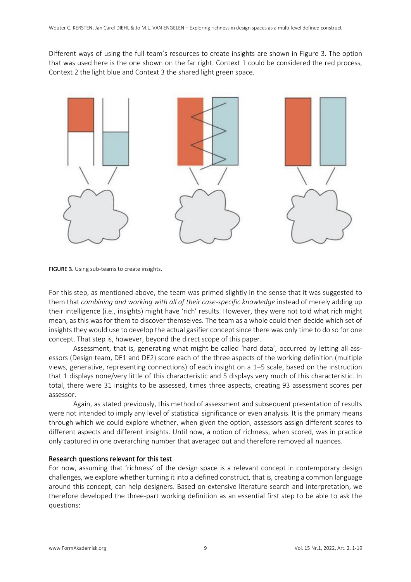Different ways of using the full team's resources to create insights are shown in Figure 3. The option that was used here is the one shown on the far right. Context 1 could be considered the red process, Context 2 the light blue and Context 3 the shared light green space.



FIGURE 3. Using sub-teams to create insights.

For this step, as mentioned above, the team was primed slightly in the sense that it was suggested to them that *combining and working with all of their case-specific knowledge* instead of merely adding up their intelligence (i.e., insights) might have 'rich' results. However, they were not told what rich might mean, as this was for them to discover themselves. The team as a whole could then decide which set of insights they would use to develop the actual gasifier concept since there was only time to do so for one concept. That step is, however, beyond the direct scope of this paper.

Assessment, that is, generating what might be called 'hard data', occurred by letting all assessors (Design team, DE1 and DE2) score each of the three aspects of the working definition (multiple views, generative, representing connections) of each insight on a 1–5 scale, based on the instruction that 1 displays none/very little of this characteristic and 5 displays very much of this characteristic. In total, there were 31 insights to be assessed, times three aspects, creating 93 assessment scores per assessor.

Again, as stated previously, this method of assessment and subsequent presentation of results were not intended to imply any level of statistical significance or even analysis. It is the primary means through which we could explore whether, when given the option, assessors assign different scores to different aspects and different insights. Until now, a notion of richness, when scored, was in practice only captured in one overarching number that averaged out and therefore removed all nuances.

#### Research questions relevant for this test

For now, assuming that 'richness' of the design space is a relevant concept in contemporary design challenges, we explore whether turning it into a defined construct, that is, creating a common language around this concept, can help designers. Based on extensive literature search and interpretation, we therefore developed the three-part working definition as an essential first step to be able to ask the questions: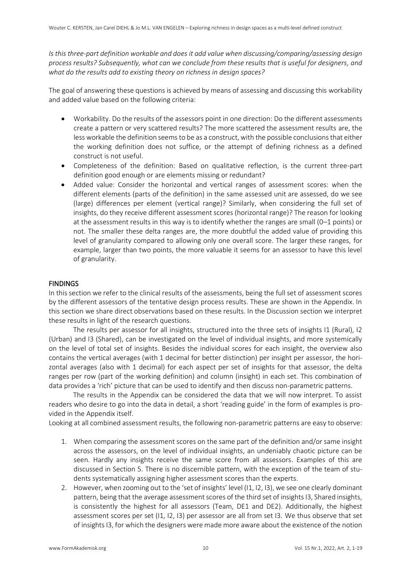*Is this three-part definition workable and does it add value when discussing/comparing/assessing design process results? Subsequently, what can we conclude from these results that is useful for designers, and what do the results add to existing theory on richness in design spaces?*

The goal of answering these questions is achieved by means of assessing and discussing this workability and added value based on the following criteria:

- Workability. Do the results of the assessors point in one direction: Do the different assessments create a pattern or very scattered results? The more scattered the assessment results are, the less workable the definition seems to be as a construct, with the possible conclusionsthat either the working definition does not suffice, or the attempt of defining richness as a defined construct is not useful.
- Completeness of the definition: Based on qualitative reflection, is the current three-part definition good enough or are elements missing or redundant?
- Added value: Consider the horizontal and vertical ranges of assessment scores: when the different elements (parts of the definition) in the same assessed unit are assessed, do we see (large) differences per element (vertical range)? Similarly, when considering the full set of insights, do they receive different assessment scores (horizontal range)? The reason for looking at the assessment results in this way is to identify whether the ranges are small (0–1 points) or not. The smaller these delta ranges are, the more doubtful the added value of providing this level of granularity compared to allowing only one overall score. The larger these ranges, for example, larger than two points, the more valuable it seems for an assessor to have this level of granularity.

#### **FINDINGS**

In this section we refer to the clinical results of the assessments, being the full set of assessment scores by the different assessors of the tentative design process results. These are shown in the Appendix. In this section we share direct observations based on these results. In the Discussion section we interpret these results in light of the research questions.

The results per assessor for all insights, structured into the three sets of insights I1 (Rural), I2 (Urban) and I3 (Shared), can be investigated on the level of individual insights, and more systemically on the level of total set of insights. Besides the individual scores for each insight, the overview also contains the vertical averages (with 1 decimal for better distinction) per insight per assessor, the horizontal averages (also with 1 decimal) for each aspect per set of insights for that assessor, the delta ranges per row (part of the working definition) and column (insight) in each set. This combination of data provides a 'rich' picture that can be used to identify and then discuss non-parametric patterns.

The results in the Appendix can be considered the data that we will now interpret. To assist readers who desire to go into the data in detail, a short 'reading guide' in the form of examples is provided in the Appendix itself.

Looking at all combined assessment results, the following non-parametric patterns are easy to observe:

- 1. When comparing the assessment scores on the same part of the definition and/or same insight across the assessors, on the level of individual insights, an undeniably chaotic picture can be seen. Hardly any insights receive the same score from all assessors. Examples of this are discussed in Section 5. There is no discernible pattern, with the exception of the team of students systematically assigning higher assessment scores than the experts.
- 2. However, when zooming out to the 'set of insights' level (I1, I2, I3), we see one clearly dominant pattern, being that the average assessment scores of the third set of insights I3, Shared insights, is consistently the highest for all assessors (Team, DE1 and DE2). Additionally, the highest assessment scores per set (I1, I2, I3) per assessor are all from set I3. We thus observe that set of insights I3, for which the designers were made more aware about the existence of the notion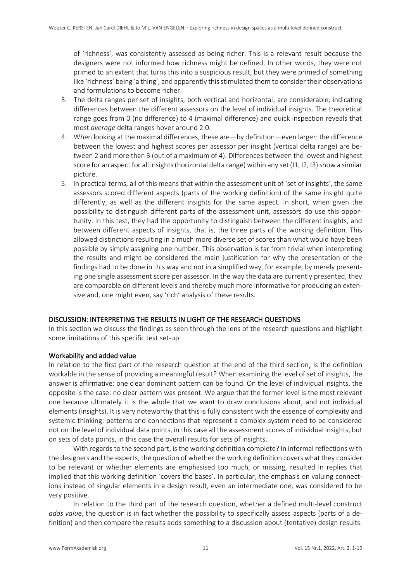of 'richness', was consistently assessed as being richer. This is a relevant result because the designers were not informed how richness might be defined. In other words, they were not primed to an extent that turns this into a suspicious result, but they were primed of something like 'richness' being 'a thing', and apparently this stimulated them to consider their observations and formulations to become richer.

- 3. The delta ranges per set of insights, both vertical and horizontal, are considerable, indicating differences between the different assessors on the level of individual insights. The theoretical range goes from 0 (no difference) to 4 (maximal difference) and quick inspection reveals that most *average* delta ranges hover around 2.0.
- 4. When looking at the maximal differences, these are—by definition—even larger: the difference between the lowest and highest scores per assessor per insight (vertical delta range) are between 2 and more than 3 (out of a maximum of 4). Differences between the lowest and highest score for an aspect for all insights (horizontal delta range) within any set (I1, I2, I3) show a similar picture.
- 5. In practical terms, all of this means that within the assessment unit of 'set of insights', the same assessors scored different aspects (parts of the working definition) of the same insight quite differently, as well as the different insights for the same aspect. In short, when given the possibility to distinguish different parts of the assessment unit, assessors do use this opportunity. In this test, they had the opportunity to distinguish between the different insights, and between different aspects of insights, that is, the three parts of the working definition. This allowed distinctions resulting in a much more diverse set of scores than what would have been possible by simply assigning one number. This observation is far from trivial when interpreting the results and might be considered the main justification for why the presentation of the findings had to be done in this way and not in a simplified way, for example, by merely presenting one single assessment score per assessor. In the way the data are currently presented, they are comparable on different levels and thereby much more informative for producing an extensive and, one might even, say 'rich' analysis of these results.

#### DISCUSSION: INTERPRETING THE RESULTS IN LIGHT OF THE RESEARCH QUESTIONS

In this section we discuss the findings as seen through the lens of the research questions and highlight some limitations of this specific test set-up.

#### Workability and added value

In relation to the first part of the research question at the end of the third section, is the definition workable in the sense of providing a meaningful result? When examining the level of set of insights, the answer is affirmative: one clear dominant pattern can be found. On the level of individual insights, the opposite is the case: no clear pattern was present. We argue that the former level is the most relevant one because ultimately it is the whole that we want to draw conclusions about, and not individual elements (insights). It is very noteworthy that this is fully consistent with the essence of complexity and systemic thinking: patterns and connections that represent a complex system need to be considered not on the level of individual data points, in this case all the assessment scores of individual insights, but on sets of data points, in this case the overall results for sets of insights.

With regards to the second part, is the working definition complete? In informal reflections with the designers and the experts, the question of whether the working definition covers what they consider to be relevant or whether elements are emphasised too much, or missing, resulted in replies that implied that this working definition 'covers the bases'. In particular, the emphasis on valuing connections instead of singular elements in a design result, even an intermediate one, was considered to be very positive.

In relation to the third part of the research question, whether a defined multi-level construct *adds value*, the question is in fact whether the possibility to specifically assess aspects (parts of a definition) and then compare the results adds something to a discussion about (tentative) design results.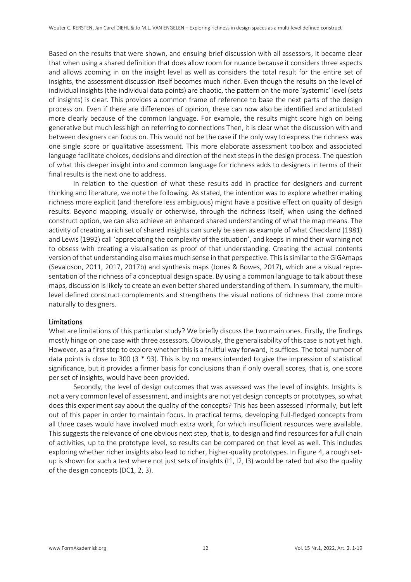Based on the results that were shown, and ensuing brief discussion with all assessors, it became clear that when using a shared definition that does allow room for nuance because it considers three aspects and allows zooming in on the insight level as well as considers the total result for the entire set of insights, the assessment discussion itself becomes much richer. Even though the results on the level of individual insights (the individual data points) are chaotic, the pattern on the more 'systemic' level (sets of insights) is clear. This provides a common frame of reference to base the next parts of the design process on. Even if there are differences of opinion, these can now also be identified and articulated more clearly because of the common language. For example, the results might score high on being generative but much less high on referring to connections Then, it is clear what the discussion with and between designers can focus on. This would not be the case if the only way to express the richness was one single score or qualitative assessment. This more elaborate assessment toolbox and associated language facilitate choices, decisions and direction of the next steps in the design process. The question of what this deeper insight into and common language for richness adds to designers in terms of their final results is the next one to address.

In relation to the question of what these results add in practice for designers and current thinking and literature, we note the following. As stated, the intention was to explore whether making richness more explicit (and therefore less ambiguous) might have a positive effect on quality of design results. Beyond mapping, visually or otherwise, through the richness itself, when using the defined construct option, we can also achieve an enhanced shared understanding of what the map means. The activity of creating a rich set of shared insights can surely be seen as example of what Checkland (1981) and Lewis (1992) call 'appreciating the complexity of the situation', and keeps in mind their warning not to obsess with creating a visualisation as proof of that understanding. Creating the actual contents version of that understanding also makes much sense in that perspective. This is similar to the GiGAmaps (Sevaldson, 2011, 2017, 2017b) and synthesis maps (Jones & Bowes, 2017), which are a visual representation of the richness of a conceptual design space. By using a common language to talk about these maps, discussion is likely to create an even better shared understanding of them. In summary, the multilevel defined construct complements and strengthens the visual notions of richness that come more naturally to designers.

#### Limitations

What are limitations of this particular study? We briefly discuss the two main ones. Firstly, the findings mostly hinge on one case with three assessors. Obviously, the generalisability of this case is not yet high. However, as a first step to explore whether this is a fruitful way forward, it suffices. The total number of data points is close to 300 (3 \* 93). This is by no means intended to give the impression of statistical significance, but it provides a firmer basis for conclusions than if only overall scores, that is, one score per set of insights, would have been provided.

Secondly, the level of design outcomes that was assessed was the level of insights. Insights is not a very common level of assessment, and insights are not yet design concepts or prototypes, so what does this experiment say about the quality of the concepts? This has been assessed informally, but left out of this paper in order to maintain focus. In practical terms, developing full-fledged concepts from all three cases would have involved much extra work, for which insufficient resources were available. This suggests the relevance of one obvious next step, that is, to design and find resources for a full chain of activities, up to the prototype level, so results can be compared on that level as well. This includes exploring whether richer insights also lead to richer, higher-quality prototypes. In Figure 4, a rough setup is shown for such a test where not just sets of insights (I1, I2, I3) would be rated but also the quality of the design concepts (DC1, 2, 3).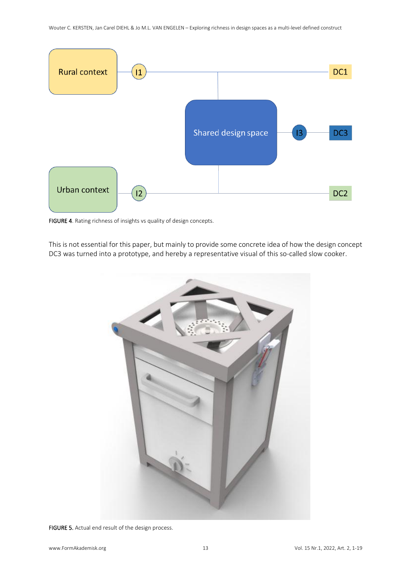

FIGURE 4. Rating richness of insights vs quality of design concepts.

This is not essential for this paper, but mainly to provide some concrete idea of how the design concept DC3 was turned into a prototype, and hereby a representative visual of this so-called slow cooker.



FIGURE 5. Actual end result of the design process.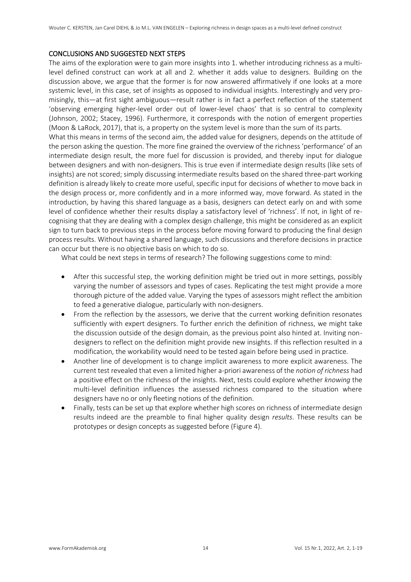#### CONCLUSIONS AND SUGGESTED NEXT STEPS

The aims of the exploration were to gain more insights into 1. whether introducing richness as a multilevel defined construct can work at all and 2. whether it adds value to designers. Building on the discussion above, we argue that the former is for now answered affirmatively if one looks at a more systemic level, in this case, set of insights as opposed to individual insights. Interestingly and very promisingly, this—at first sight ambiguous—result rather is in fact a perfect reflection of the statement 'observing emerging higher-level order out of lower-level chaos' that is so central to complexity (Johnson, 2002; Stacey, 1996). Furthermore, it corresponds with the notion of emergent properties (Moon & LaRock, 2017), that is, a property on the system level is more than the sum of its parts.

What this means in terms of the second aim, the added value for designers, depends on the attitude of the person asking the question. The more fine grained the overview of the richness 'performance' of an intermediate design result, the more fuel for discussion is provided, and thereby input for dialogue between designers and with non-designers. This is true even if intermediate design results (like sets of insights) are not scored; simply discussing intermediate results based on the shared three-part working definition is already likely to create more useful, specific input for decisions of whether to move back in the design process or, more confidently and in a more informed way, move forward. As stated in the introduction, by having this shared language as a basis, designers can detect early on and with some level of confidence whether their results display a satisfactory level of 'richness'. If not, in light of recognising that they are dealing with a complex design challenge, this might be considered as an explicit sign to turn back to previous steps in the process before moving forward to producing the final design process results. Without having a shared language, such discussions and therefore decisions in practice can occur but there is no objective basis on which to do so.

What could be next steps in terms of research? The following suggestions come to mind:

- After this successful step, the working definition might be tried out in more settings, possibly varying the number of assessors and types of cases. Replicating the test might provide a more thorough picture of the added value. Varying the types of assessors might reflect the ambition to feed a generative dialogue, particularly with non-designers.
- From the reflection by the assessors, we derive that the current working definition resonates sufficiently with expert designers. To further enrich the definition of richness, we might take the discussion outside of the design domain, as the previous point also hinted at. Inviting nondesigners to reflect on the definition might provide new insights. If this reflection resulted in a modification, the workability would need to be tested again before being used in practice.
- Another line of development is to change implicit awareness to more explicit awareness. The current test revealed that even a limited higher a-priori awareness of the *notion of richness* had a positive effect on the richness of the insights. Next, tests could explore whether *knowing* the multi-level definition influences the assessed richness compared to the situation where designers have no or only fleeting notions of the definition.
- Finally, tests can be set up that explore whether high scores on richness of intermediate design results indeed are the preamble to final higher quality design *results*. These results can be prototypes or design concepts as suggested before (Figure 4).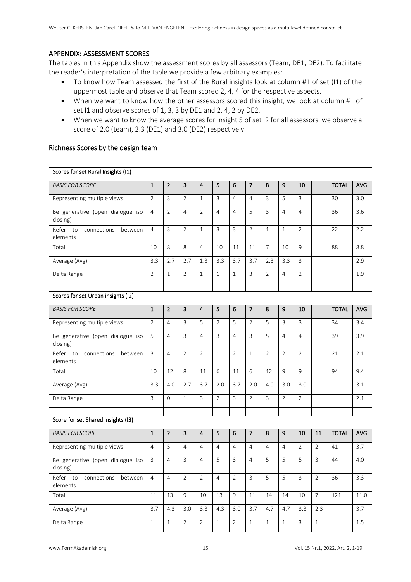#### APPENDIX: ASSESSMENT SCORES

The tables in this Appendix show the assessment scores by all assessors (Team, DE1, DE2). To facilitate the reader's interpretation of the table we provide a few arbitrary examples:

- To know how Team assessed the first of the Rural insights look at column #1 of set (I1) of the uppermost table and observe that Team scored 2, 4, 4 for the respective aspects.
- When we want to know how the other assessors scored this insight, we look at column #1 of set I1 and observe scores of 1, 3, 3 by DE1 and 2, 4, 2 by DE2.
- When we want to know the average scores for insight 5 of set I2 for all assessors, we observe a score of 2.0 (team), 2.3 (DE1) and 3.0 (DE2) respectively.

| Scores for set Rural Insights (I1)             |                |                |                |                         |                |                |                |                |                |                |                |              |            |
|------------------------------------------------|----------------|----------------|----------------|-------------------------|----------------|----------------|----------------|----------------|----------------|----------------|----------------|--------------|------------|
| <b>BASIS FOR SCORE</b>                         | $\mathbf 1$    | $\overline{2}$ | 3              | $\overline{4}$          | 5              | 6              | $\overline{7}$ | 8              | 9              | 10             |                | <b>TOTAL</b> | <b>AVG</b> |
| Representing multiple views                    | $\overline{2}$ | 3              | $\overline{2}$ | $\mathbf{1}$            | 3              | $\overline{4}$ | $\overline{4}$ | 3              | 5              | 3              |                | 30           | 3.0        |
| Be generative (open dialogue iso<br>closing)   | $\overline{4}$ | $\overline{2}$ | $\overline{4}$ | $\overline{2}$          | $\overline{4}$ | $\overline{4}$ | 5              | 3              | $\overline{4}$ | $\overline{4}$ |                | 36           | 3.6        |
| Refer to<br>connections<br>between<br>elements | $\overline{4}$ | $\overline{3}$ | $\overline{2}$ | $\mathbf{1}$            | 3              | 3              | $\overline{2}$ | $\mathbf{1}$   | $\mathbf{1}$   | $\overline{2}$ |                | 22           | 2.2        |
| Total                                          | 10             | 8              | 8              | 4                       | 10             | 11             | 11             | $\overline{7}$ | 10             | 9              |                | 88           | 8.8        |
| Average (Avg)                                  | 3.3            | 2.7            | 2.7            | 1.3                     | 3.3            | 3.7            | 3.7            | 2.3            | 3.3            | $\overline{3}$ |                |              | 2.9        |
| Delta Range                                    | $\overline{2}$ | $\mathbf{1}$   | $\overline{2}$ | $\mathbf{1}$            | $\mathbf{1}$   | $\mathbf{1}$   | 3              | $\overline{2}$ | 4              | $\overline{2}$ |                |              | 1.9        |
| Scores for set Urban insights (I2)             |                |                |                |                         |                |                |                |                |                |                |                |              |            |
| <b>BASIS FOR SCORE</b>                         | $\mathbf 1$    | $\overline{2}$ | 3              | $\overline{\mathbf{4}}$ | 5              | 6              | $\overline{7}$ | 8              | 9              | 10             |                | <b>TOTAL</b> | AVG        |
| Representing multiple views                    | $\overline{2}$ | $\overline{4}$ | 3              | 5                       | $\overline{2}$ | 5              | $\overline{2}$ | 5              | $\overline{3}$ | $\overline{3}$ |                | 34           | 3.4        |
| Be generative (open dialogue iso<br>closing)   | 5              | $\overline{4}$ | 3              | 4                       | $\overline{3}$ | 4              | $\overline{3}$ | 5              | $\overline{4}$ | $\overline{4}$ |                | 39           | 3.9        |
| Refer to<br>connections<br>between<br>elements | $\mathbf{3}$   | $\overline{4}$ | $\overline{2}$ | $\overline{2}$          | $\mathbf{1}$   | $\overline{2}$ | $\mathbf{1}$   | $\overline{2}$ | $\overline{2}$ | $\overline{2}$ |                | 21           | 2.1        |
| Total                                          | 10             | 12             | 8              | 11                      | 6              | 11             | 6              | 12             | 9              | 9              |                | 94           | 9.4        |
| Average (Avg)                                  | 3.3            | 4.0            | 2.7            | 3.7                     | 2.0            | 3.7            | 2.0            | 4.0            | 3.0            | 3.0            |                |              | 3.1        |
| Delta Range                                    | $\mathbf{3}$   | $\mathbf{0}$   | $\mathbf{1}$   | $\overline{3}$          | $\overline{2}$ | 3              | $\overline{2}$ | $\overline{3}$ | $\overline{2}$ | $\overline{2}$ |                |              | 2.1        |
| Score for set Shared insights (I3)             |                |                |                |                         |                |                |                |                |                |                |                |              |            |
| <b>BASIS FOR SCORE</b>                         | $\mathbf 1$    | $\overline{2}$ | 3              | $\overline{\mathbf{4}}$ | 5              | 6              | $\overline{7}$ | 8              | 9              | 10             | 11             | <b>TOTAL</b> | <b>AVG</b> |
| Representing multiple views                    | $\overline{4}$ | 5              | $\overline{4}$ | 4                       | $\overline{4}$ | $\overline{4}$ | $\overline{4}$ | $\overline{4}$ | 4              | $\overline{2}$ | $\overline{2}$ | 41           | 3.7        |
| Be generative (open dialogue iso<br>closing)   | $\mathbf{3}$   | $\overline{4}$ | 3              | 4                       | 5              | 3              | $\overline{4}$ | 5              | 5              | 5              | $\overline{3}$ | 44           | 4.0        |
| Refer to connections between<br>elements       | 4              | 4              | 2              | 2                       | 4              | 2              | 3              | 5              | 5              | 3              | 2              | 36           | 3.3        |
| Total                                          | 11             | 13             | 9              | 10                      | 13             | 9              | 11             | 14             | 14             | 10             | $7^{\circ}$    | 121          | 11.0       |
| Average (Avg)                                  | 3.7            | 4.3            | 3.0            | 3.3                     | 4.3            | 3.0            | 3.7            | 4.7            | 4.7            | 3.3            | 2.3            |              | 3.7        |
| Delta Range                                    | $\,1$          | $\mathbf{1}$   | $\overline{2}$ | $\overline{2}$          | $\mathbf{1}$   | $\overline{2}$ | $\,1\,$        | $\,1\,$        | $\,1$          | $\overline{3}$ | $\,1$          |              | $1.5\,$    |

#### Richness Scores by the design team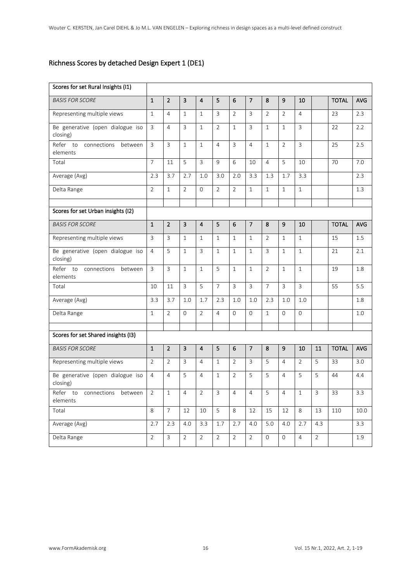### Richness Scores by detached Design Expert 1 (DE1)

| Scores for set Rural Insights (I1)                |                |                 |                         |                         |                |                |                |                     |                     |                |                |              |            |
|---------------------------------------------------|----------------|-----------------|-------------------------|-------------------------|----------------|----------------|----------------|---------------------|---------------------|----------------|----------------|--------------|------------|
| <b>BASIS FOR SCORE</b>                            | $\mathbf 1$    | $\overline{2}$  | 3                       | $\overline{4}$          | 5              | 6              | $\overline{7}$ | 8                   | 9                   | 10             |                | <b>TOTAL</b> | <b>AVG</b> |
| Representing multiple views                       | $1\,$          | $\overline{4}$  | $\mathbf{1}$            | $\mathbf{1}$            | $\overline{3}$ | $\overline{2}$ | $\overline{3}$ | $\overline{2}$      | $\overline{2}$      | $\overline{4}$ |                | 23           | 2.3        |
| Be generative (open dialogue iso<br>closing)      | $\overline{3}$ | $\overline{4}$  | $\overline{3}$          | $\mathbf{1}$            | $\overline{2}$ | $\mathbf{1}$   | $\overline{3}$ | $\mathbf{1}$        | $\mathbf{1}$        | $\overline{3}$ |                | 22           | 2.2        |
| Refer to<br>connections<br>between<br>elements    | $\overline{3}$ | $\overline{3}$  | $\mathbf{1}$            | $\mathbf{1}$            | $\overline{4}$ | $\overline{3}$ | $\overline{4}$ | $\mathbf{1}$        | $\overline{2}$      | $\overline{3}$ |                | 25           | 2.5        |
| Total                                             | $\overline{7}$ | 11              | 5                       | 3                       | 9              | 6              | 10             | $\overline{4}$      | 5                   | 10             |                | 70           | 7.0        |
| Average (Avg)                                     | 2.3            | 3.7             | 2.7                     | 1.0                     | 3.0            | 2.0            | 3.3            | 1.3                 | 1.7                 | 3.3            |                |              | 2.3        |
| Delta Range                                       | $\overline{2}$ | $\mathbf{1}$    | $\overline{2}$          | $\Omega$                | $\overline{2}$ | $\overline{2}$ | $\mathbf{1}$   | $\mathbf{1}$        | $\mathbf{1}$        | $\mathbf{1}$   |                |              | 1.3        |
| Scores for set Urban insights (I2)                |                |                 |                         |                         |                |                |                |                     |                     |                |                |              |            |
| <b>BASIS FOR SCORE</b>                            | $\mathbf{1}$   | $\overline{2}$  | 3                       | $\overline{\mathbf{4}}$ | 5              | 6              | $\overline{7}$ | 8                   | 9                   | 10             |                | <b>TOTAL</b> | <b>AVG</b> |
| Representing multiple views                       | $\overline{3}$ | $\mathbf{3}$    | $\mathbf{1}$            | $\mathbf{1}$            | $\mathbf{1}$   | $\mathbf{1}$   | $\mathbf{1}$   | $\overline{2}$      | $\mathbf{1}$        | $1\,$          |                | 15           | 1.5        |
| Be generative (open dialogue iso                  | $\overline{4}$ | 5               | $\mathbf{1}$            | 3                       | $\mathbf{1}$   | $\mathbf{1}$   | $\mathbf{1}$   | 3                   | $\mathbf{1}$        | $\mathbf{1}$   |                | 21           | 2.1        |
| closing)                                          |                |                 |                         |                         |                |                |                |                     |                     |                |                |              |            |
| Refer<br>connections<br>to<br>between<br>elements | $\overline{3}$ | $\overline{3}$  | $\mathbf{1}$            | $\mathbf{1}$            | 5              | $\mathbf{1}$   | $\mathbf{1}$   | $\overline{2}$      | $\mathbf{1}$        | $1\,$          |                | 19           | 1.8        |
| Total                                             | 10             | 11              | $\overline{3}$          | 5                       | $\overline{7}$ | $\overline{3}$ | $\overline{3}$ | $\overline{7}$      | $\overline{3}$      | $\overline{3}$ |                | 55           | 5.5        |
| Average (Avg)                                     | 3.3            | 3.7             | 1.0                     | 1.7                     | 2.3            | 1.0            | 1.0            | 2.3                 | 1.0                 | 1.0            |                |              | 1.8        |
| Delta Range                                       | $\mathbf{1}$   | $\overline{2}$  | $\Omega$                | $\overline{2}$          | $\overline{4}$ | $\Omega$       | $\Omega$       | $\mathbf{1}$        | $\Omega$            | $\mathbf{O}$   |                |              | 1.0        |
| Scores for set Shared insights (I3)               |                |                 |                         |                         |                |                |                |                     |                     |                |                |              |            |
| <b>BASIS FOR SCORE</b>                            | $\mathbf{1}$   | $\overline{2}$  | $\overline{\mathbf{3}}$ | $\overline{\mathbf{4}}$ | 5              | 6              | $\overline{7}$ | 8                   | 9                   | 10             | 11             | <b>TOTAL</b> | <b>AVG</b> |
| Representing multiple views                       | $\overline{2}$ | $\overline{2}$  | 3                       | $\overline{4}$          | $\mathbf{1}$   | $\overline{2}$ | 3              | 5                   | $\overline{4}$      | $\overline{2}$ | 5              | 33           | 3.0        |
| Be generative (open dialogue iso<br>closing)      | $\overline{4}$ | $\overline{4}$  | 5                       | $\overline{4}$          | $\mathbf{1}$   | $\overline{2}$ | 5              | 5                   | $\overline{4}$      | 5              | 5              | 44           | 4.4        |
| Refer to connections between<br>elements          | $\overline{2}$ | $1\,$           | $\overline{4}$          | $\overline{2}$          | $\mathsf 3$    | $\overline{4}$ | 4              | 5                   | $\overline{4}$      | $\,1$          | $\mathsf{3}$   | 33           | 3.3        |
| Total                                             | $\infty$       | $7\overline{ }$ | 12                      | 10                      | 5              | 8              | 12             | 15                  | 12                  | 8              | 13             | 110          | 10.0       |
| Average (Avg)                                     | 2.7            | 2.3             | 4.0                     | 3.3                     | 1.7            | 2.7            | 4.0            | 5.0                 | 4.0                 | 2.7            | 4.3            |              | 3.3        |
| Delta Range                                       | $\overline{2}$ | $\overline{3}$  | $\overline{2}$          | $\overline{2}$          | $\overline{2}$ | $\overline{2}$ | $\overline{2}$ | $\mathsf{O}\xspace$ | $\mathsf{O}\xspace$ | $\overline{4}$ | $\overline{2}$ |              | 1.9        |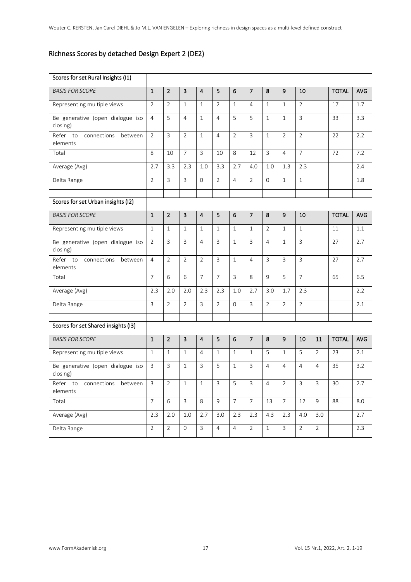## Richness Scores by detached Design Expert 2 (DE2)

| Scores for set Rural Insights (I1)             |                |                |                |                         |                |                |                |                |                  |                |                |              |            |
|------------------------------------------------|----------------|----------------|----------------|-------------------------|----------------|----------------|----------------|----------------|------------------|----------------|----------------|--------------|------------|
| <b>BASIS FOR SCORE</b>                         | $\mathbf{1}$   | $\overline{2}$ | 3              | $\overline{\mathbf{4}}$ | 5              | 6              | $\overline{7}$ | 8              | 9                | 10             |                | <b>TOTAL</b> | <b>AVG</b> |
| Representing multiple views                    | $\overline{2}$ | $\overline{2}$ | $\mathbf{1}$   | $\mathbf{1}$            | $\overline{2}$ | $\mathbf{1}$   | $\overline{4}$ | $\mathbf{1}$   | $\mathbf{1}$     | 2              |                | 17           | 1.7        |
| Be generative (open dialogue iso<br>closing)   | $\overline{4}$ | 5              | $\overline{4}$ | $\mathbf{1}$            | 4              | 5              | 5              | $\mathbf{1}$   | $\mathbf{1}$     | 3              |                | 33           | 3.3        |
| Refer to<br>connections<br>between<br>elements | $\overline{2}$ | $\overline{3}$ | $\overline{2}$ | $\mathbf{1}$            | 4              | $\overline{2}$ | 3              | $\mathbf{1}$   | $\overline{2}$   | $\overline{2}$ |                | 22           | 2.2        |
| Total                                          | 8              | 10             | $\overline{7}$ | $\overline{3}$          | 10             | 8              | 12             | 3              | 4                | $\overline{7}$ |                | 72           | 7.2        |
| Average (Avg)                                  | 2.7            | 3.3            | 2.3            | 1.0                     | 3.3            | 2.7            | 4.0            | 1.0            | 1.3              | 2.3            |                |              | 2.4        |
| Delta Range                                    | $\overline{2}$ | $\mathbf{3}$   | $\overline{3}$ | $\Omega$                | $\overline{2}$ | $\overline{4}$ | $\overline{2}$ | $\Omega$       | $\mathbf{1}$     | $\mathbf{1}$   |                |              | 1.8        |
| Scores for set Urban insights (I2)             |                |                |                |                         |                |                |                |                |                  |                |                |              |            |
| <b>BASIS FOR SCORE</b>                         | $\mathbf{1}$   | $\overline{2}$ | $\overline{3}$ | $\overline{\mathbf{4}}$ | 5              | 6              | $\overline{7}$ | 8              | 9                | 10             |                | <b>TOTAL</b> | AVG        |
| Representing multiple views                    | $\mathbf{1}$   | $\mathbf{1}$   | $\mathbf{1}$   | $\mathbf{1}$            | $\mathbf{1}$   | $\mathbf{1}$   | $\mathbf{1}$   | $\overline{2}$ | $\mathbf{1}$     | $\mathbf{1}$   |                | 11           | 1.1        |
| Be generative (open dialogue iso<br>closing)   | $\overline{2}$ | $\overline{3}$ | $\overline{3}$ | $\overline{4}$          | 3              | $\mathbf{1}$   | 3              | 4              | $\mathbf{1}$     | 3              |                | 27           | 2.7        |
| Refer to<br>connections<br>between<br>elements | $\overline{4}$ | $\overline{2}$ | $\overline{2}$ | $\overline{2}$          | $\overline{3}$ | $\mathbf{1}$   | $\overline{4}$ | $\overline{3}$ | $\overline{3}$   | $\overline{3}$ |                | 27           | 2.7        |
| Total                                          | $\overline{7}$ | 6              | 6              | $\overline{7}$          | $\overline{7}$ | 3              | 8              | 9              | 5                | $\overline{7}$ |                | 65           | 6.5        |
| Average (Avg)                                  | 2.3            | 2.0            | 2.0            | 2.3                     | 2.3            | 1.0            | 2.7            | 3.0            | 1.7              | 2.3            |                |              | 2.2        |
| Delta Range                                    | 3              | $\overline{2}$ | $\overline{2}$ | $\overline{3}$          | $\overline{2}$ | $\Omega$       | $\overline{3}$ | $\overline{2}$ | $\overline{2}$   | $\overline{2}$ |                |              | 2.1        |
| Scores for set Shared insights (I3)            |                |                |                |                         |                |                |                |                |                  |                |                |              |            |
| <b>BASIS FOR SCORE</b>                         | $\mathbf 1$    | $\overline{2}$ | $\mathbf{3}$   | $\overline{4}$          | 5              | 6              | $\overline{7}$ | 8              | $\boldsymbol{9}$ | 10             | 11             | <b>TOTAL</b> | AVG        |
| Representing multiple views                    | $\mathbf{1}$   | $\mathbf{1}$   | $\mathbf{1}$   | $\overline{4}$          | $\mathbf{1}$   | $\mathbf{1}$   | $\mathbf{1}$   | 5              | $\mathbf{1}$     | 5              | $\overline{2}$ | 23           | 2.1        |
| Be generative (open dialogue iso<br>closing)   | $\overline{3}$ | $\overline{3}$ | $\mathbf{1}$   | 3                       | 5              | $\mathbf{1}$   | 3              | $\overline{4}$ | $\overline{4}$   | $\overline{4}$ | $\overline{4}$ | 35           | 3.2        |
| Refer to<br>connections<br>between<br>elements | 3              | 2              | 1              | 1                       | 3              | 5              | 3              | 4              | 2                | 3              | 3              | 30           | 2.7        |
| Total                                          | $\overline{7}$ | 6              | $\mathbf{3}$   | 8                       | 9              | $\overline{7}$ | $7^{\circ}$    | 13             | $7\overline{ }$  | 12             | 9              | 88           | 8.0        |
| Average (Avg)                                  | 2.3            | 2.0            | 1.0            | 2.7                     | 3.0            | 2.3            | 2.3            | 4.3            | 2.3              | 4.0            | 3.0            |              | 2.7        |
| Delta Range                                    | $\overline{2}$ | $\overline{2}$ | $\overline{0}$ | $\mathbf{3}$            | $\overline{4}$ | $\overline{4}$ | $\overline{2}$ | $\,1\,$        | 3                | $\overline{2}$ | $\overline{2}$ |              | 2.3        |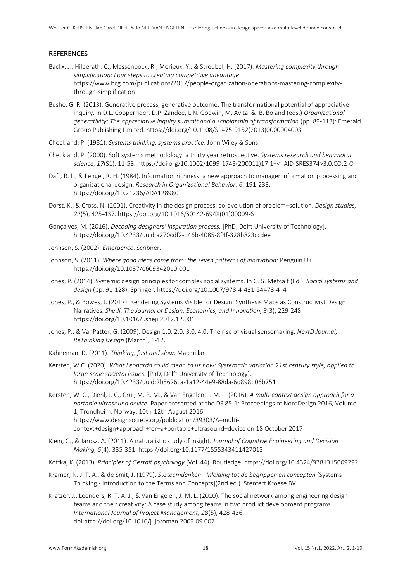#### **REFERENCES**

- Backx, J., Hilberath, C., Messenbock, R., Morieux, Y., & Streubel, H. (2017). *Mastering complexity through simplification: Four steps to creating competitive advantage*. https://www.bcg.com/publications/2017/people-organization-operations-mastering-complexitythrough-simplification
- Bushe, G. R. (2013). Generative process, generative outcome: The transformational potential of appreciative inquiry. In D.L. Cooperrider, D.P. Zandee, L.N. Godwin, M. Avital & B. Boland (eds.) *Organizational generativity: The appreciative inquiry summit and a scholarship of transformation* (pp. 89-113): Emerald Group Publishing Limited. https://doi.org/10.1108/S1475-9152(2013)0000004003
- Checkland, P. (1981). *Systems thinking, systems practice*. John Wiley & Sons.
- Checkland, P. (2000). Soft systems methodology: a thirty year retrospective. *Systems research and behavioral science, 17*(S1), 11-58. https://doi.org/10.1002/1099-1743(200011)17:1+<::AID-SRES374>3.0.CO;2-O
- Daft, R. L., & Lengel, R. H. (1984). Information richness: a new approach to manager information processing and organisational design. *Research in Organizational Behavior*, *6*, 191-233. https://doi.org/10.21236/ADA128980
- Dorst, K., & Cross, N. (2001). Creativity in the design process: co-evolution of problem–solution. *Design studies, 22*(5), 425-437. https://doi.org/10.1016/S0142-694X(01)00009-6
- Gonçalves, M. (2016). *Decoding designers' inspiration process.* [PhD, Delft University of Technology]. https://doi.org/10.4233/uuid:a270cdf2-d46b-4085-8f4f-328b823ccdee
- Johnson, S. (2002). *Emergence*. Scribner.
- Johnson, S. (2011). *Where good ideas come from: the seven patterns of innovation*: Penguin UK. https://doi.org/10.1037/e609342010-001
- Jones, P. (2014). Systemic design principles for complex social systems. In G. S. Metcalf (Ed.), *Social systems and design* (pp. 91-128). Springer. https://doi.org/10.1007/978-4-431-54478-4\_4
- Jones, P., & Bowes, J. (2017). Rendering Systems Visible for Design: Synthesis Maps as Constructivist Design Narratives. *She Ji: The Journal of Design, Economics, and Innovation, 3*(3), 229-248. https://doi.org/10.1016/j.sheji.2017.12.001
- Jones, P., & VanPatter, G. (2009). Design 1.0, 2.0, 3.0, 4.0: The rise of visual sensemaking. *NextD Journal; ReThinking Design* (March), 1-12.
- Kahneman, D. (2011). *Thinking, fast and slow*. Macmillan.
- Kersten, W.C. (2020). *What Leonardo could mean to us now: Systematic variation 21st century style, applied to large-scale societal issues.* [PhD, Delft University of Technology]. https://doi.org/10.4233/uuid:2b5626ca-1a12-44e9-88da-6d898b06b751
- Kersten, W. C., Diehl, J. C., Crul, M. R. M., & Van Engelen, J. M. L. (2016). *A multi-context design approach for a portable ultrasound device*. Paper presented at the DS 85-1: Proceedings of NordDesign 2016, Volume 1, Trondheim, Norway, 10th-12th August 2016. https://www.designsociety.org/publication/39303/A+multicontext+design+approach+for+a+portable+ultrasound+device on 18 October 2017
- Klein, G., & Jarosz, A. (2011). A naturalistic study of insight. *Journal of Cognitive Engineering and Decision Making, 5*(4), 335-351. https://doi.org/10.1177/1555343411427013
- Koffka, K. (2013). *Principles of Gestalt psychology* (Vol. 44). Routledge. https://doi.org/10.4324/9781315009292
- Kramer, N. J. T. A., & de Smit, J. (1979). *Systeemdenken - Inleiding tot de begrippen en concepten* [Systems Thinking - Introduction to the Terms and Concepts](2nd ed.). Stenfert Kroese BV.
- Kratzer, J., Leenders, R. T. A. J., & Van Engelen, J. M. L. (2010). The social network among engineering design teams and their creativity: A case study among teams in two product development programs. *International Journal of Project Management, 28*(5), 428-436. doi:http://doi.org/10.1016/j.ijproman.2009.09.007